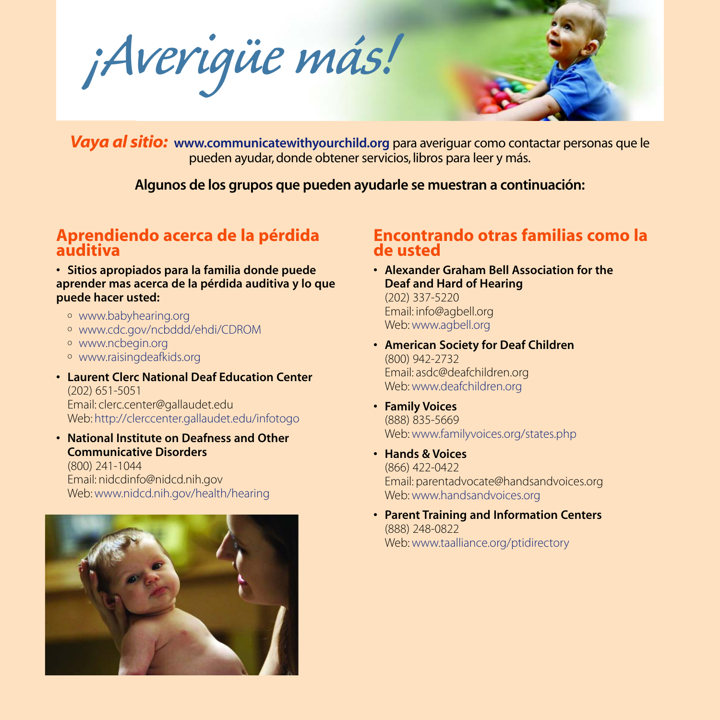*¡Averigüe más!*



*Vaya al sitio:* **www.communicatewithyourchild.org** para averiguar como contactar personas que le pueden ayudar, donde obtener servicios, libros para leer y más.

**Algunos de los grupos que pueden ayudarle se muestran a continuación:**

## **Aprendiendo acerca de la pérdida auditiva**

**• Sitios apropiados para la familia donde puede aprender mas acerca de la pérdida auditiva y lo que puede hacer usted:**

- <sup>o</sup> www.babyhearing.org
- <sup>o</sup> www.cdc.gov/ncbddd/ehdi/CDROM
- <sup>o</sup> www.ncbegin.org
- <sup>o</sup> www.raisingdeafkids.org
- **Laurent Clerc National Deaf Education Center** (202) 651-5051 Email: clerc.center@gallaudet.edu

Web: http://clerccenter.gallaudet.edu/infotogo

**• National Institute on Deafness and Other Communicative Disorders**

(800) 241-1044 Email: nidcdinfo@nidcd.nih.gov Web: www.nidcd.nih.gov/health/hearing



## **Encontrando otras familias como la de usted**

- **Alexander Graham Bell Association for the Deaf and Hard of Hearing** (202) 337-5220 Email: info@agbell.org Web: www.agbell.org
- **American Society for Deaf Children** (800) 942-2732 Email: asdc@deafchildren.org Web: www.deafchildren.org
- **• Family Voices** (888) 835-5669 Web: www.familyvoices.org/states.php
- **Hands & Voices** (866) 422-0422 Email: parentadvocate@handsandvoices.org Web: www.handsandvoices.org
- **• Parent Training and Information Centers** (888) 248-0822 Web: www.taalliance.org/ptidirectory